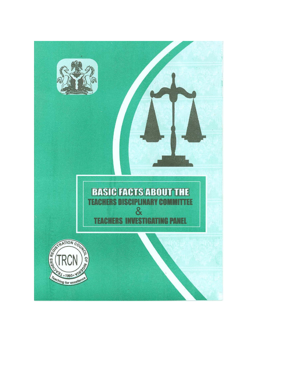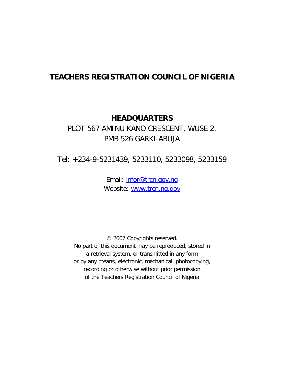## **TEACHERS REGISTRATION COUNCIL OF NIGERIA**

## **HEADQUARTERS**

# PLOT 567 AMINU KANO CRESCENT, WUSE 2. PMB 526 GARKI ABUJA

Tel: +234-9-5231439, 5233110, 5233098, 5233159

Email: [infor@trcn.gov.ng](mailto:infor@trcn.gov.ng) Website: [www.trcn.ng.gov](http://www.trcn.ng.gov/)

© 2007 Copyrights reserved. No part of this document may be reproduced, stored in a retrieval system, or transmitted in any form or by any means, electronic, mechanical, photocopying, recording or otherwise without prior permission of the Teachers Registration Council of Nigeria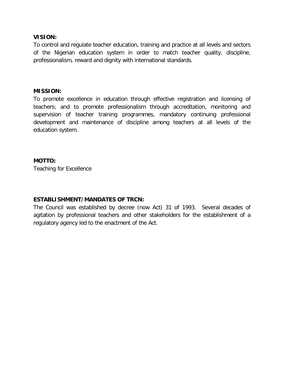#### **VISION:**

To control and regulate teacher education, training and practice at all levels and sectors of the Nigerian education system in order to match teacher quality, discipline, professionalism, reward and dignity with international standards.

#### **MISSION:**

To promote excellence in education through effective registration and licensing of teachers; and to promote professionalism through accreditation, monitoring and supervision of teacher training programmes, mandatory continuing professional development and maintenance of discipline among teachers at all levels of the education system.

#### **MOTTO:**

Teaching for Excellence

#### **ESTABLISHMENT/MANDATES OF TRCN:**

The Council was established by decree (now Act) 31 of 1993. Several decades of agitation by professional teachers and other stakeholders for the establishment of a regulatory agency led to the enactment of the Act.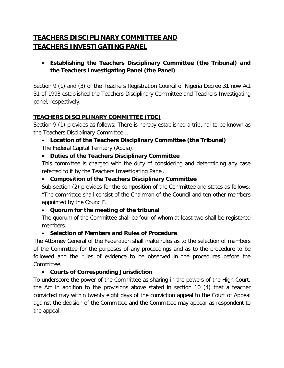# **TEACHERS DISCIPLINARY COMMITTEE AND TEACHERS INVESTIGATING PANEL**

• **Establishing the Teachers Disciplinary Committee (the Tribunal) and the Teachers Investigating Panel (the Panel)**

Section 9 (1) and (3) of the Teachers Registration Council of Nigeria Decree 31 now Act 31 of 1993 established the Teachers Disciplinary Committee and Teachers Investigating panel, respectively.

#### **TEACHERS DISCIPLINARY COMMITTEE (TDC)**

Section 9 (1) provides as follows: There is hereby established a tribunal to be known as the Teachers Disciplinary Committee…

## • **Location of the Teachers Disciplinary Committee (the Tribunal)**  The Federal Capital Territory (Abuja).

### • **Duties of the Teachers Disciplinary Committee**

This committee is charged with the duty of considering and determining any case referred to it by the Teachers Investigating Panel.

#### • **Composition of the Teachers Disciplinary Committee**

Sub-section (2) provides for the composition of the Committee and states as follows: "The committee shall consist of the Chairman of the Council and ten other members appointed by the Council".

### • **Quorum for the meeting of the tribunal**

The quorum of the Committee shall be four of whom at least two shall be registered members.

### • **Selection of Members and Rules of Procedure**

The Attorney General of the Federation shall make rules as to the selection of members of the Committee for the purposes of any proceedings and as to the procedure to be followed and the rules of evidence to be observed in the procedures before the Committee.

### • **Courts of Corresponding Jurisdiction**

To underscore the power of the Committee as sharing in the powers of the High Court, the Act in addition to the provisions above stated in section 10 (4) that a teacher convicted may within twenty eight days of the conviction appeal to the Court of Appeal against the decision of the Committee and the Committee may appear as respondent to the appeal.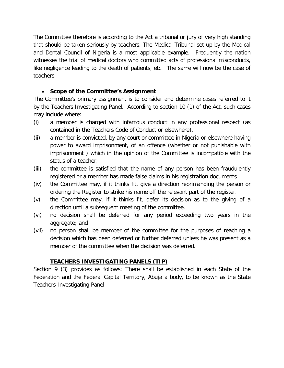The Committee therefore is according to the Act a tribunal or jury of very high standing that should be taken seriously by teachers. The Medical Tribunal set up by the Medical and Dental Council of Nigeria is a most applicable example. Frequently the nation witnesses the trial of medical doctors who committed acts of professional misconducts, like negligence leading to the death of patients, etc. The same will now be the case of teachers,

#### • **Scope of the Committee's Assignment**

The Committee's primary assignment is to consider and determine cases referred to it by the Teachers Investigating Panel. According to section 10 (1) of the Act, such cases may include where:

- (i) a member is charged with infamous conduct in any professional respect (as contained in the Teachers Code of Conduct or elsewhere).
- (ii) a member is convicted, by any court or committee in Nigeria or elsewhere having power to award imprisonment, of an offence (whether or not punishable with imprisonment ) which in the opinion of the Committee is incompatible with the status of a teacher;
- (iii) the committee is satisfied that the name of any person has been fraudulently registered or a member has made false claims in his registration documents.
- (iv) the Committee may, if it thinks fit, give a direction reprimanding the person or ordering the Register to strike his name off the relevant part of the register.
- (v) the Committee may, if it thinks fit, defer its decision as to the giving of a direction until a subsequent meeting of the committee.
- (vi) no decision shall be deferred for any period exceeding two years in the aggregate; and
- (vii) no person shall be member of the committee for the purposes of reaching a decision which has been deferred or further deferred unless he was present as a member of the committee when the decision was deferred.

## **TEACHERS INVESTIGATING PANELS (TIP)**

Section 9 (3) provides as follows: There shall be established in each State of the Federation and the Federal Capital Territory, Abuja a body, to be known as the State Teachers Investigating Panel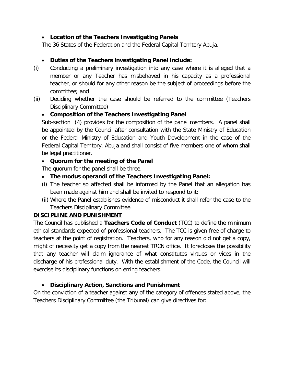#### • **Location of the Teachers Investigating Panels**

The 36 States of the Federation and the Federal Capital Territory Abuja.

### • **Duties of the Teachers investigating Panel include:**

- (i) Conducting a preliminary investigation into any case where it is alleged that a member or any Teacher has misbehaved in his capacity as a professional teacher, or should for any other reason be the subject of proceedings before the committee; and
- (ii) Deciding whether the case should be referred to the committee (Teachers Disciplinary Committee)

### • **Composition of the Teachers Investigating Panel**

Sub-section (4) provides for the composition of the panel members. A panel shall be appointed by the Council after consultation with the State Ministry of Education or the Federal Ministry of Education and Youth Development in the case of the Federal Capital Territory, Abuja and shall consist of five members one of whom shall be legal practitioner.

### • **Quorum for the meeting of the Panel**

The quorum for the panel shall be three.

- **The modus operandi of the Teachers Investigating Panel:**
- (i) The teacher so affected shall be informed by the Panel that an allegation has been made against him and shall be invited to respond to it;
- (ii) Where the Panel establishes evidence of misconduct it shall refer the case to the Teachers Disciplinary Committee.

### **DISCIPLINE AND PUNISHMENT**

The Council has published a **Teachers Code of Conduct** (TCC) to define the minimum ethical standards expected of professional teachers. The TCC is given free of charge to teachers at the point of registration. Teachers, who for any reason did not get a copy, might of necessity get a copy from the nearest TRCN office. It forecloses the possibility that any teacher will claim ignorance of what constitutes virtues or vices in the discharge of his professional duty. With the establishment of the Code, the Council will exercise its disciplinary functions on erring teachers.

### • **Disciplinary Action, Sanctions and Punishment**

On the conviction of a teacher against any of the category of offences stated above, the Teachers Disciplinary Committee (the Tribunal) can give directives for: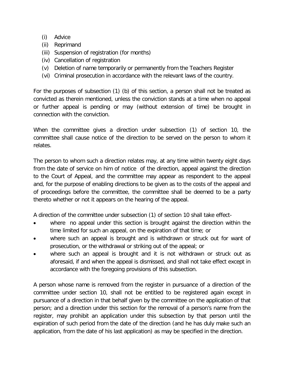### (i) Advice

- (ii) Reprimand
- (iii) Suspension of registration (for months)
- (iv) Cancellation of registration
- (v) Deletion of name temporarily or permanently from the Teachers Register
- (vi) Criminal prosecution in accordance with the relevant laws of the country.

For the purposes of subsection (1) (b) of this section, a person shall not be treated as convicted as therein mentioned, unless the conviction stands at a time when no appeal or further appeal is pending or may (without extension of time) be brought in connection with the conviction.

When the committee gives a direction under subsection (1) of section 10, the committee shall cause notice of the direction to be served on the person to whom it relates.

The person to whom such a direction relates may, at any time within twenty eight days from the date of service on him of notice of the direction, appeal against the direction to the Court of Appeal, and the committee may appear as respondent to the appeal and, for the purpose of enabling directions to be given as to the costs of the appeal and of proceedings before the committee, the committee shall be deemed to be a party thereto whether or not it appears on the hearing of the appeal.

A direction of the committee under subsection (1) of section 10 shall take effect-

- where no appeal under this section is brought against the direction within the time limited for such an appeal, on the expiration of that time; or
- where such an appeal is brought and is withdrawn or struck out for want of prosecution, or the withdrawal or striking out of the appeal; or
- where such an appeal is brought and it is not withdrawn or struck out as aforesaid, if and when the appeal is dismissed, and shall not take effect except in accordance with the foregoing provisions of this subsection.

A person whose name is removed from the register in pursuance of a direction of the committee under section 10, shall not be entitled to be registered again except in pursuance of a direction in that behalf given by the committee on the application of that person; and a direction under this section for the removal of a person's name from the register, may prohibit an application under this subsection by that person until the expiration of such period from the date of the direction (and he has duly make such an application, from the date of his last application) as may be specified in the direction.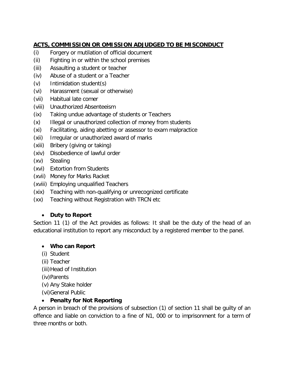## **ACTS, COMMISSION OR OMISSION ADJUDGED TO BE MISCONDUCT**

- (i) Forgery or mutilation of official document
- (ii) Fighting in or within the school premises
- (iii) Assaulting a student or teacher
- (iv) Abuse of a student or a Teacher
- (v) Intimidation student(s)
- (vi) Harassment (sexual or otherwise)
- (vii) Habitual late comer
- (viii) Unauthorized Absenteeism
- (ix) Taking undue advantage of students or Teachers
- (x) Illegal or unauthorized collection of money from students
- (xi) Facilitating, aiding abetting or assessor to exam malpractice
- (xii) Irregular or unauthorized award of marks
- (xiii) Bribery (giving or taking)
- (xiv) Disobedience of lawful order
- (xv) Stealing
- (xvi) Extortion from Students
- (xvii) Money for Marks Racket
- (xviii) Employing unqualified Teachers
- (xix) Teaching with non-qualifying or unrecognized certificate
- (xx) Teaching without Registration with TRCN etc

### • **Duty to Report**

Section 11 (1) of the Act provides as follows: It shall be the duty of the head of an educational institution to report any misconduct by a registered member to the panel.

### • **Who can Report**

- (i) Student
- (ii) Teacher
- (iii)Head of Institution
- (iv)Parents
- (v) Any Stake holder
- (vi)General Public

### • **Penalty for Not Reporting**

A person in breach of the provisions of subsection (1) of section 11 shall be guilty of an offence and liable on conviction to a fine of N1, 000 or to imprisonment for a term of three months or both.